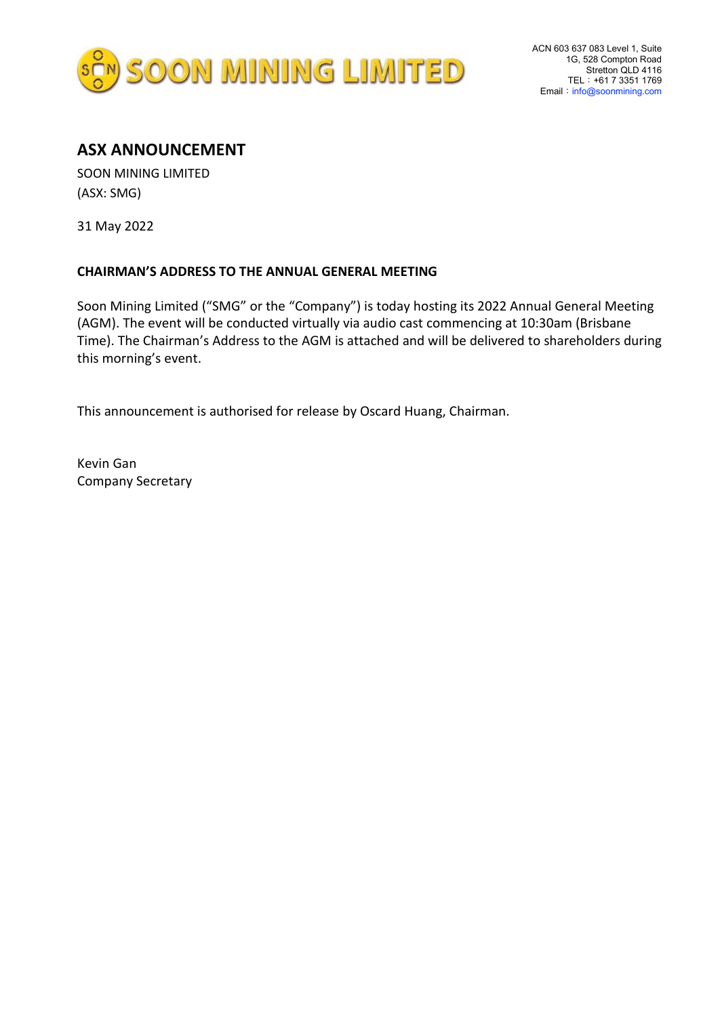

## **ASX ANNOUNCEMENT**

SOON MINING LIMITED (ASX: SMG)

31 May 2022

## **CHAIRMAN'S ADDRESS TO THE ANNUAL GENERAL MEETING**

Soon Mining Limited ("SMG" or the "Company") is today hosting its 2022 Annual General Meeting (AGM). The event will be conducted virtually via audio cast commencing at 10:30am (Brisbane Time). The Chairman's Address to the AGM is attached and will be delivered to shareholders during this morning's event.

This announcement is authorised for release by Oscard Huang, Chairman.

Kevin Gan Company Secretary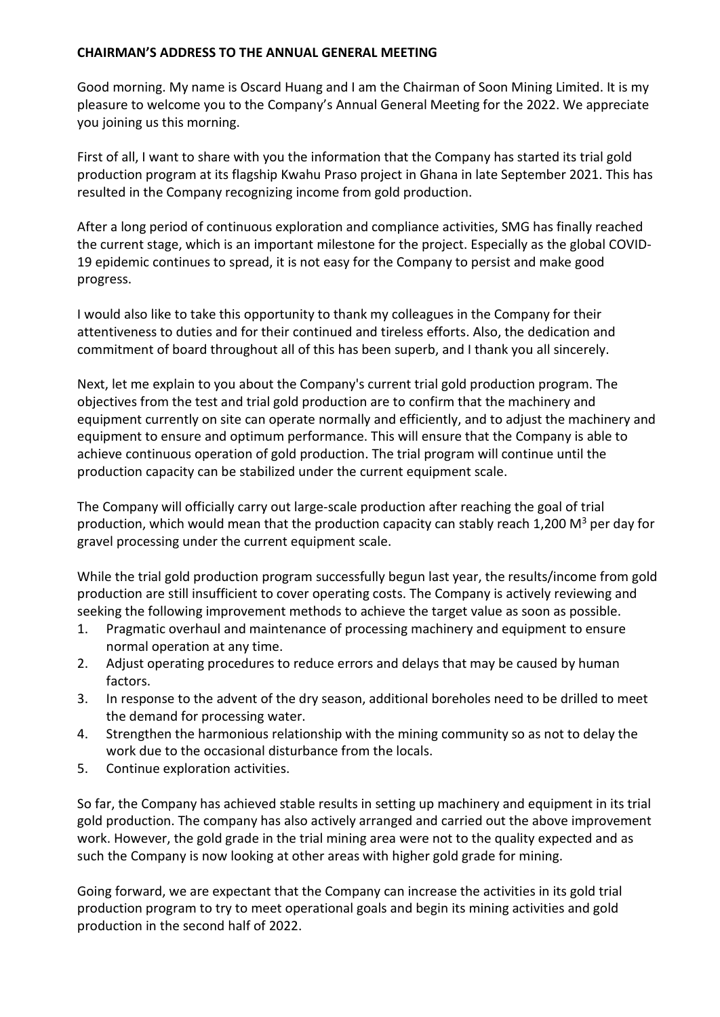## **CHAIRMAN'S ADDRESS TO THE ANNUAL GENERAL MEETING**

Good morning. My name is Oscard Huang and I am the Chairman of Soon Mining Limited. It is my pleasure to welcome you to the Company's Annual General Meeting for the 2022. We appreciate you joining us this morning.

First of all, I want to share with you the information that the Company has started its trial gold production program at its flagship Kwahu Praso project in Ghana in late September 2021. This has resulted in the Company recognizing income from gold production.

After a long period of continuous exploration and compliance activities, SMG has finally reached the current stage, which is an important milestone for the project. Especially as the global COVID-19 epidemic continues to spread, it is not easy for the Company to persist and make good progress.

I would also like to take this opportunity to thank my colleagues in the Company for their attentiveness to duties and for their continued and tireless efforts. Also, the dedication and commitment of board throughout all of this has been superb, and I thank you all sincerely.

Next, let me explain to you about the Company's current trial gold production program. The objectives from the test and trial gold production are to confirm that the machinery and equipment currently on site can operate normally and efficiently, and to adjust the machinery and equipment to ensure and optimum performance. This will ensure that the Company is able to achieve continuous operation of gold production. The trial program will continue until the production capacity can be stabilized under the current equipment scale.

The Company will officially carry out large-scale production after reaching the goal of trial production, which would mean that the production capacity can stably reach 1,200  $M^3$  per day for gravel processing under the current equipment scale.

While the trial gold production program successfully begun last year, the results/income from gold production are still insufficient to cover operating costs. The Company is actively reviewing and seeking the following improvement methods to achieve the target value as soon as possible.

- 1. Pragmatic overhaul and maintenance of processing machinery and equipment to ensure normal operation at any time.
- 2. Adjust operating procedures to reduce errors and delays that may be caused by human factors.
- 3. In response to the advent of the dry season, additional boreholes need to be drilled to meet the demand for processing water.
- 4. Strengthen the harmonious relationship with the mining community so as not to delay the work due to the occasional disturbance from the locals.
- 5. Continue exploration activities.

So far, the Company has achieved stable results in setting up machinery and equipment in its trial gold production. The company has also actively arranged and carried out the above improvement work. However, the gold grade in the trial mining area were not to the quality expected and as such the Company is now looking at other areas with higher gold grade for mining.

Going forward, we are expectant that the Company can increase the activities in its gold trial production program to try to meet operational goals and begin its mining activities and gold production in the second half of 2022.